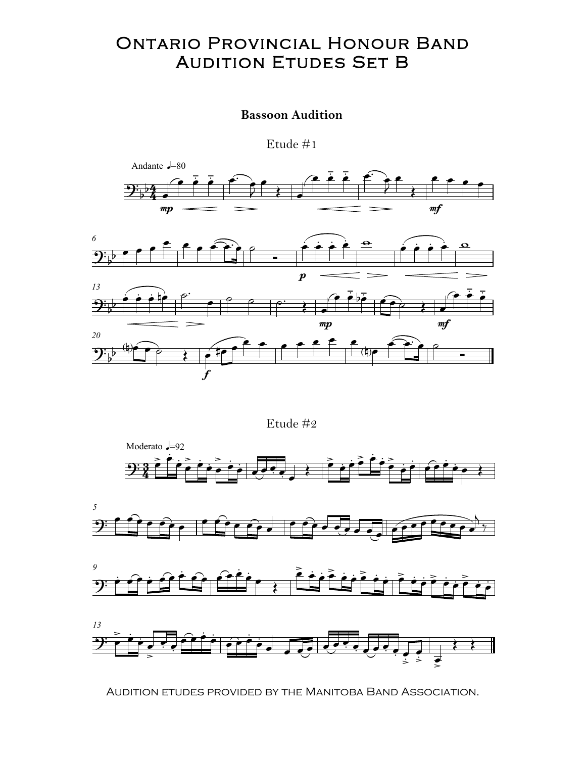### **ONTARIO PROVINCIAL HONOUR BAND AUDITION ETUDES SET B**

### **Bassoon Audition**

Etude  $#1$ 





Etude #2









AUDITION ETUDES PROVIDED BY THE MANITOBA BAND ASSOCIATION.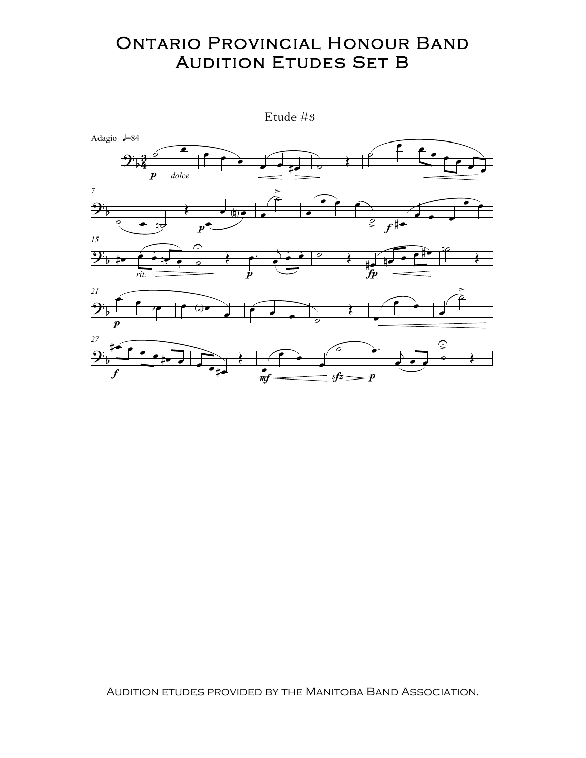## **ONTARIO PROVINCIAL HONOUR BAND AUDITION ETUDES SET B**

Etude #3



AUDITION ETUDES PROVIDED BY THE MANITOBA BAND ASSOCIATION.